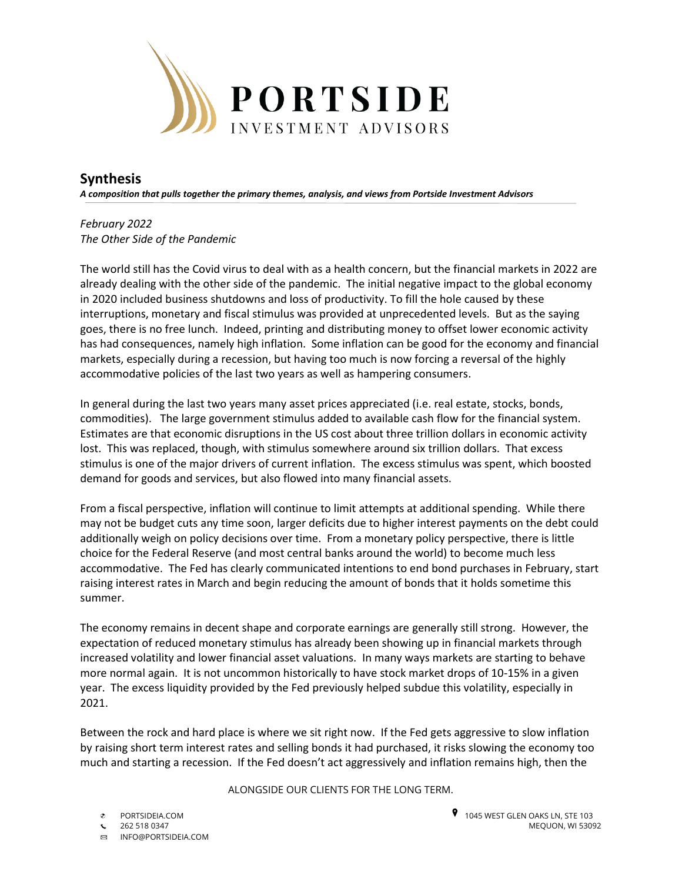

## **Synthesis**

*A composition that pulls together the primary themes, analysis, and views from Portside Investment Advisors*

## *February 2022 The Other Side of the Pandemic*

The world still has the Covid virus to deal with as a health concern, but the financial markets in 2022 are already dealing with the other side of the pandemic. The initial negative impact to the global economy in 2020 included business shutdowns and loss of productivity. To fill the hole caused by these interruptions, monetary and fiscal stimulus was provided at unprecedented levels. But as the saying goes, there is no free lunch. Indeed, printing and distributing money to offset lower economic activity has had consequences, namely high inflation. Some inflation can be good for the economy and financial markets, especially during a recession, but having too much is now forcing a reversal of the highly accommodative policies of the last two years as well as hampering consumers.

In general during the last two years many asset prices appreciated (i.e. real estate, stocks, bonds, commodities). The large government stimulus added to available cash flow for the financial system. Estimates are that economic disruptions in the US cost about three trillion dollars in economic activity lost. This was replaced, though, with stimulus somewhere around six trillion dollars. That excess stimulus is one of the major drivers of current inflation. The excess stimulus was spent, which boosted demand for goods and services, but also flowed into many financial assets.

From a fiscal perspective, inflation will continue to limit attempts at additional spending. While there may not be budget cuts any time soon, larger deficits due to higher interest payments on the debt could additionally weigh on policy decisions over time. From a monetary policy perspective, there is little choice for the Federal Reserve (and most central banks around the world) to become much less accommodative. The Fed has clearly communicated intentions to end bond purchases in February, start raising interest rates in March and begin reducing the amount of bonds that it holds sometime this summer.

The economy remains in decent shape and corporate earnings are generally still strong. However, the expectation of reduced monetary stimulus has already been showing up in financial markets through increased volatility and lower financial asset valuations. In many ways markets are starting to behave more normal again. It is not uncommon historically to have stock market drops of 10-15% in a given year. The excess liquidity provided by the Fed previously helped subdue this volatility, especially in 2021.

Between the rock and hard place is where we sit right now. If the Fed gets aggressive to slow inflation by raising short term interest rates and selling bonds it had purchased, it risks slowing the economy too much and starting a recession. If the Fed doesn't act aggressively and inflation remains high, then the

ALONGSIDE OUR CLIENTS FOR THE LONG TERM.

- 
- 

**<b>ES** INFO@PORTSIDEIA.COM